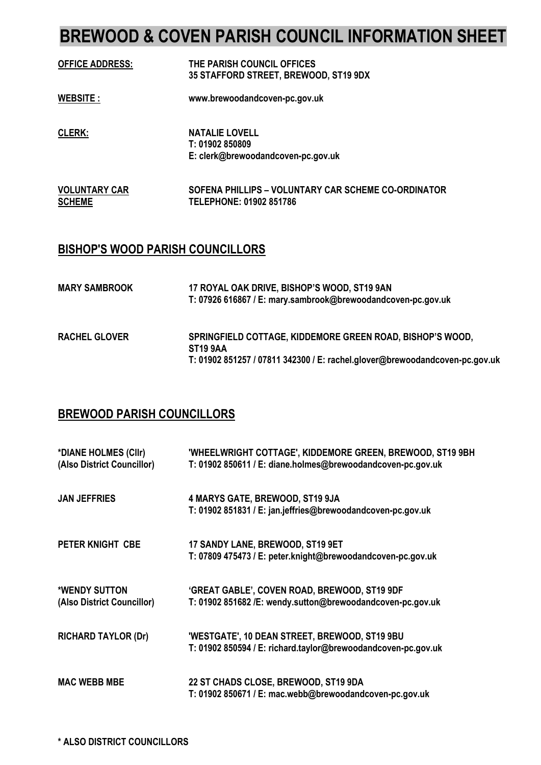# **BREWOOD & COVEN PARISH COUNCIL INFORMATION SHEET**

| <b>OFFICE ADDRESS:</b>                | THE PARISH COUNCIL OFFICES<br>35 STAFFORD STREET, BREWOOD, ST19 9DX            |
|---------------------------------------|--------------------------------------------------------------------------------|
| <b>WEBSITE:</b>                       | www.brewoodandcoven-pc.gov.uk                                                  |
| <b>CLERK:</b>                         | <b>NATALIE LOVELL</b><br>T: 01902 850809<br>E: clerk@brewoodandcoven-pc.gov.uk |
| <b>VOLUNTARY CAR</b><br><b>SCHEME</b> | SOFENA PHILLIPS - VOLUNTARY CAR SCHEME CO-ORDINATOR<br>TELEPHONE: 01902 851786 |

#### **BISHOP'S WOOD PARISH COUNCILLORS**

| <b>MARY SAMBROOK</b> | 17 ROYAL OAK DRIVE, BISHOP'S WOOD, ST19 9AN<br>T: 07926 616867 / E: mary.sambrook@brewoodandcoven-pc.gov.uk                                                 |
|----------------------|-------------------------------------------------------------------------------------------------------------------------------------------------------------|
| <b>RACHEL GLOVER</b> | SPRINGFIELD COTTAGE, KIDDEMORE GREEN ROAD, BISHOP'S WOOD,<br><b>ST19 9AA</b><br>T: 01902 851257 / 07811 342300 / E: rachel.glover@brewoodandcoven-pc.gov.uk |

## **BREWOOD PARISH COUNCILLORS**

| *DIANE HOLMES (CIIr)<br>(Also District Councillor) | <b>'WHEELWRIGHT COTTAGE', KIDDEMORE GREEN, BREWOOD, ST19 9BH</b><br>T: 01902 850611 / E: diane.holmes@brewoodandcoven-pc.gov.uk |
|----------------------------------------------------|---------------------------------------------------------------------------------------------------------------------------------|
| <b>JAN JEFFRIES</b>                                | 4 MARYS GATE, BREWOOD, ST19 9JA<br>T: 01902 851831 / E: jan.jeffries@brewoodandcoven-pc.gov.uk                                  |
| PETER KNIGHT CBE                                   | 17 SANDY LANE, BREWOOD, ST19 9ET<br>T: 07809 475473 / E: peter.knight@brewoodandcoven-pc.gov.uk                                 |
| *WENDY SUTTON<br>(Also District Councillor)        | 'GREAT GABLE', COVEN ROAD, BREWOOD, ST19 9DF<br>T: 01902 851682 /E: wendy.sutton@brewoodandcoven-pc.gov.uk                      |
| <b>RICHARD TAYLOR (Dr)</b>                         | 'WESTGATE', 10 DEAN STREET, BREWOOD, ST19 9BU<br>T: 01902 850594 / E: richard.taylor@brewoodandcoven-pc.gov.uk                  |
| <b>MAC WEBB MBE</b>                                | 22 ST CHADS CLOSE, BREWOOD, ST19 9DA<br>T: 01902 850671 / E: mac.webb@brewoodandcoven-pc.gov.uk                                 |